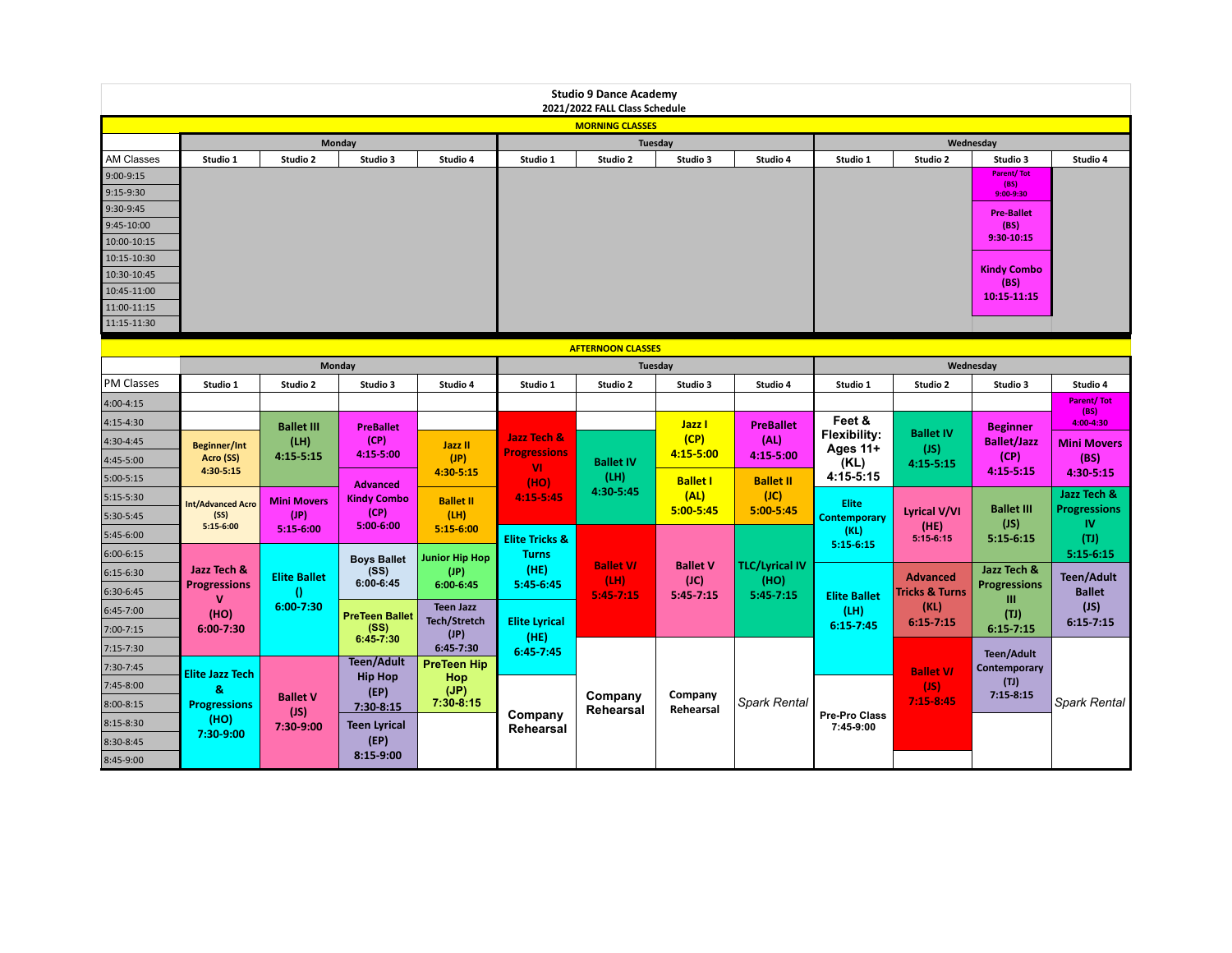| <b>Studio 9 Dance Academy</b><br>2021/2022 FALL Class Schedule |                                  |                     |                            |                             |                           |                  |                         |                          |                       |                           |                                   |                     |
|----------------------------------------------------------------|----------------------------------|---------------------|----------------------------|-----------------------------|---------------------------|------------------|-------------------------|--------------------------|-----------------------|---------------------------|-----------------------------------|---------------------|
| <b>MORNING CLASSES</b>                                         |                                  |                     |                            |                             |                           |                  |                         |                          |                       |                           |                                   |                     |
|                                                                | Monday                           |                     |                            |                             |                           | Tuesday          |                         |                          |                       | Wednesday                 |                                   |                     |
| <b>AM Classes</b>                                              | Studio 1                         | Studio 2            | Studio 3                   | Studio 4                    | Studio 1                  | Studio 2         | Studio 3                | Studio 4                 | Studio 1              | Studio 2                  | Studio 3                          | Studio 4            |
| 9:00-9:15                                                      |                                  |                     |                            |                             |                           |                  |                         |                          |                       |                           | <b>Parent/Tot</b><br>(BS)         |                     |
| 9:15-9:30                                                      |                                  |                     |                            |                             |                           |                  |                         |                          |                       |                           | $9:00 - 9:30$                     |                     |
| 9:30-9:45                                                      |                                  |                     |                            |                             |                           |                  |                         |                          |                       |                           | <b>Pre-Ballet</b>                 |                     |
| 9:45-10:00                                                     |                                  |                     |                            |                             |                           |                  |                         |                          |                       |                           | (BS)<br>$9:30-10:15$              |                     |
| 10:00-10:15                                                    |                                  |                     |                            |                             |                           |                  |                         |                          |                       |                           |                                   |                     |
| 10:15-10:30                                                    |                                  |                     |                            |                             |                           |                  |                         |                          |                       |                           | <b>Kindy Combo</b>                |                     |
| 10:30-10:45                                                    |                                  |                     |                            |                             |                           |                  |                         |                          |                       |                           | (BS)                              |                     |
| 10:45-11:00                                                    |                                  |                     |                            |                             |                           |                  |                         |                          |                       |                           | 10:15-11:15                       |                     |
| 11:00-11:15<br>11:15-11:30                                     |                                  |                     |                            |                             |                           |                  |                         |                          |                       |                           |                                   |                     |
|                                                                |                                  |                     |                            |                             |                           |                  |                         |                          |                       |                           |                                   |                     |
| <b>AFTERNOON CLASSES</b>                                       |                                  |                     |                            |                             |                           |                  |                         |                          |                       |                           |                                   |                     |
|                                                                |                                  |                     | Monday                     |                             |                           |                  | Tuesday                 |                          | Wednesday             |                           |                                   |                     |
| <b>PM Classes</b>                                              | Studio 1                         | Studio 2            | Studio 3                   | Studio 4                    | Studio 1                  | Studio 2         | Studio 3                | Studio 4                 | Studio 1              | Studio 2                  | Studio 3                          | Studio 4            |
| $4:00 - 4:15$                                                  |                                  |                     |                            |                             |                           |                  |                         |                          |                       |                           |                                   | <b>Parent/Tot</b>   |
| 4:15-4:30                                                      |                                  | <b>Ballet III</b>   | <b>PreBallet</b>           |                             |                           |                  | Jazz I                  | <b>PreBallet</b>         | Feet &                |                           | <b>Beginner</b>                   | (BS)<br>4:00-4:30   |
| 4:30-4:45                                                      |                                  | (LH)                | (CP)                       | Jazz II                     | Jazz Tech &               |                  | (CP)                    | (AL)                     | Flexibility:          | <b>Ballet IV</b>          | <b>Ballet/Jazz</b>                | <b>Mini Movers</b>  |
| 4:45-5:00                                                      | <b>Beginner/Int</b><br>Acro (SS) | 4:15 5:15           | 4:15-5:00                  | (JP)                        | <b>Progressions</b>       | <b>Ballet IV</b> | 4:15-5:00               | 4:15-5:00                | Ages 11+<br>(KL)      | (JS)                      | (CP)                              | (BS)                |
| $5:00-5:15$                                                    | $4:30 - 5:15$                    |                     |                            | 4:30-5:15                   | <b>VI</b>                 | (LH)             |                         |                          | 4:15-5:15             | $4:15 - 5:15$             | $4:15 - 5:15$                     | 4:30-5:15           |
|                                                                |                                  |                     | <b>Advanced</b>            |                             | (HO)<br>4:15-5:45         | 4:30-5:45        | <b>Ballet I</b><br>(AL) | <b>Ballet II</b><br>(JC) |                       |                           |                                   | Jazz Tech &         |
| $5:15-5:30$                                                    | <b>Int/Advanced Acro</b>         | <b>Mini Movers</b>  | <b>Kindy Combo</b><br>(CP) | <b>Ballet II</b>            |                           |                  | $5:00 - 5:45$           | $5:00 - 5:45$            | <b>Elite</b>          | <b>Lyrical V/VI</b>       | <b>Ballet III</b>                 | <b>Progressions</b> |
| 5:30-5:45                                                      | (SS)<br>$5:15-6:00$              | (JP)<br>$5:15-6:00$ | 5:00-6:00                  | (LH)<br>5:15-6:00           |                           |                  |                         |                          | <b>Contemporary</b>   | (HE)                      | (JS)                              | <b>IV</b>           |
| 5:45-6:00                                                      |                                  |                     |                            |                             | <b>Elite Tricks &amp;</b> |                  |                         |                          | (KL)<br>$5:15 - 6:15$ | $5:15-6:15$               | $5:15-6:15$                       | (TJ)                |
| 6:00-6:15                                                      |                                  |                     | <b>Boys Ballet</b>         | Junior Hip Hop              | <b>Turns</b>              | <b>Ballet VI</b> | <b>Ballet V</b>         | <b>TLC/Lyrical IV</b>    |                       |                           |                                   | $5:15-6:15$         |
| 6:15-6:30                                                      | Jazz Tech &                      | <b>Elite Ballet</b> | (SS)<br>$6:00 - 6:45$      | (JP)                        | (HE)                      | (LH)             | (JC)                    | (HO)                     |                       | <b>Advanced</b>           | Jazz Tech &                       | <b>Teen/Adult</b>   |
| 6:30-6:45                                                      | <b>Progressions</b>              | $\bf{0}$            |                            | $6:00 - 6:45$               | 5:45-6:45                 | $5:45 - 7:15$    | $5:45 - 7:15$           | 5:45-7:15                | <b>Elite Ballet</b>   | <b>Tricks &amp; Turns</b> | <b>Progressions</b><br>Ш          | <b>Ballet</b>       |
| 6:45-7:00                                                      | (HO)                             | 6:00-7:30           | <b>PreTeen Ballet</b>      | <b>Teen Jazz</b>            |                           |                  |                         |                          | (LH)                  | (KL)                      | (TJ)                              | (JS)                |
| 7:00-7:15                                                      | $6:00 - 7:30$                    |                     | (SS)                       | <b>Tech/Stretch</b><br>(JP) | <b>Elite Lyrical</b>      |                  |                         |                          | 6:15 7:45             | $6:15 - 7:15$             | $6:15 - 7:15$                     | $6:15 - 7:15$       |
| 7:15-7:30                                                      |                                  |                     | $6:45-7:30$                | 6:45-7:30                   | (HE)<br>$6:45 - 7:45$     |                  |                         |                          |                       |                           |                                   |                     |
| 7:30-7:45                                                      |                                  |                     | <b>Teen/Adult</b>          | <b>PreTeen Hip</b>          |                           |                  |                         |                          |                       |                           | <b>Teen/Adult</b><br>Contemporary |                     |
| 7:45-8:00                                                      | <b>Elite Jazz Tech</b>           |                     | <b>Hip Hop</b>             | Hop                         |                           |                  |                         |                          |                       | <b>Ballet VI</b><br>(JS)  | (T)                               |                     |
|                                                                | $\mathbf{g}_i$                   | <b>Ballet V</b>     | (EP)                       | (JP)<br>$7:30-8:15$         |                           | Company          | Company                 | <b>Spark Rental</b>      |                       | $7:15-8:45$               | $7:15 - 8:15$                     | <b>Spark Rental</b> |
| 8:00-8:15                                                      | <b>Progressions</b><br>(HO)      | (JS)                | 7:30-8:15                  |                             | Company                   | Rehearsal        | Rehearsal               |                          | Pre-Pro Class         |                           |                                   |                     |
| 8:15-8:30                                                      | 7:30-9:00                        | 7:30-9:00           | Teen Lyrical               |                             | Rehearsal                 |                  |                         |                          | 7:45-9:00             |                           |                                   |                     |
| 8:30-8:45                                                      |                                  |                     | (EP)                       |                             |                           |                  |                         |                          |                       |                           |                                   |                     |
| 8:45-9:00                                                      |                                  |                     | 8:15-9:00                  |                             |                           |                  |                         |                          |                       |                           |                                   |                     |